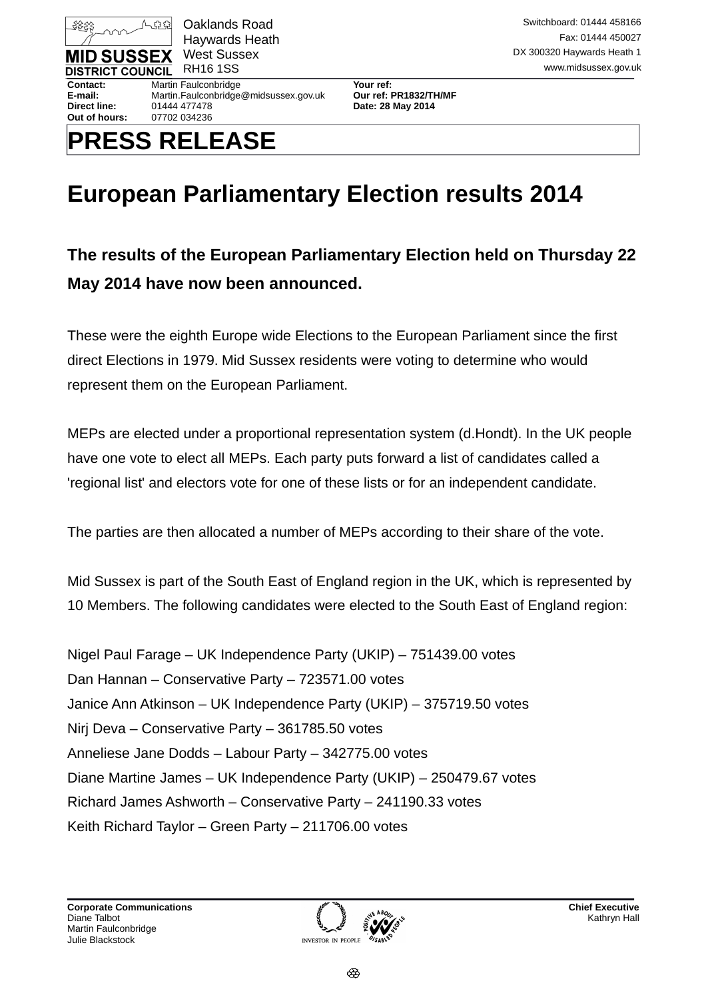

Haywards Heath

**Out of hours:** 07702 034236

**Contact:** Martin Faulconbridge **Your ref: E-mail:** Martin.Faulconbridge@midsussex.gov.uk **Our ref: PR1832/TH/MF Direct line:** 01444 477478 **Date: 28 May 2014**

# **PRESS RELEASE**

## **European Parliamentary Election results 2014**

## **The results of the European Parliamentary Election held on Thursday 22 May 2014 have now been announced.**

These were the eighth Europe wide Elections to the European Parliament since the first direct Elections in 1979. Mid Sussex residents were voting to determine who would represent them on the European Parliament.

MEPs are elected under a proportional representation system (d.Hondt). In the UK people have one vote to elect all MEPs. Each party puts forward a list of candidates called a 'regional list' and electors vote for one of these lists or for an independent candidate.

The parties are then allocated a number of MEPs according to their share of the vote.

Mid Sussex is part of the South East of England region in the UK, which is represented by 10 Members. The following candidates were elected to the South East of England region:

Nigel Paul Farage – UK Independence Party (UKIP) – 751439.00 votes Dan Hannan – Conservative Party – 723571.00 votes Janice Ann Atkinson – UK Independence Party (UKIP) – 375719.50 votes Nirj Deva – Conservative Party – 361785.50 votes Anneliese Jane Dodds – Labour Party – 342775.00 votes Diane Martine James – UK Independence Party (UKIP) – 250479.67 votes Richard James Ashworth – Conservative Party – 241190.33 votes Keith Richard Taylor – Green Party – 211706.00 votes